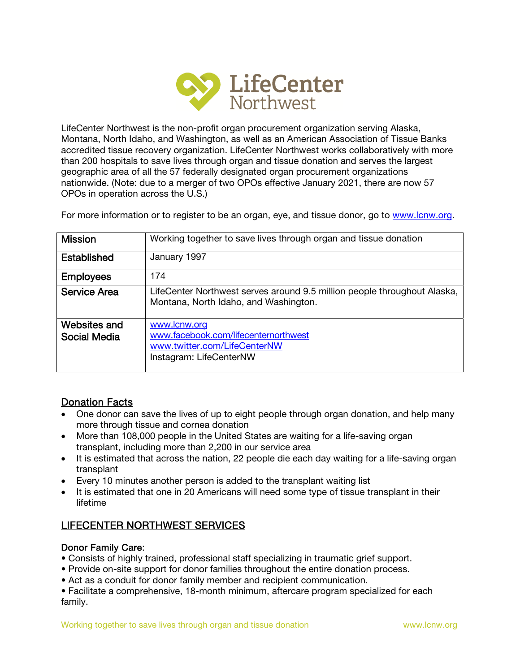

LifeCenter Northwest is the non-profit organ procurement organization serving Alaska, Montana, North Idaho, and Washington, as well as an American Association of Tissue Banks accredited tissue recovery organization. LifeCenter Northwest works collaboratively with more than 200 hospitals to save lives through organ and tissue donation and serves the largest geographic area of all the 57 federally designated organ procurement organizations nationwide. (Note: due to a merger of two OPOs effective January 2021, there are now 57 OPOs in operation across the U.S.)

For more information or to register to be an organ, eye, and tissue donor, go to www.lcnw.org.

| <b>Mission</b>                      | Working together to save lives through organ and tissue donation                                                  |
|-------------------------------------|-------------------------------------------------------------------------------------------------------------------|
| <b>Established</b>                  | January 1997                                                                                                      |
| <b>Employees</b>                    | 174                                                                                                               |
| <b>Service Area</b>                 | LifeCenter Northwest serves around 9.5 million people throughout Alaska,<br>Montana, North Idaho, and Washington. |
| Websites and<br><b>Social Media</b> | www.lcnw.org<br>www.facebook.com/lifecenternorthwest<br>www.twitter.com/LifeCenterNW<br>Instagram: LifeCenterNW   |

# Donation Facts

- One donor can save the lives of up to eight people through organ donation, and help many more through tissue and cornea donation
- More than 108,000 people in the United States are waiting for a life-saving organ transplant, including more than 2,200 in our service area
- It is estimated that across the nation, 22 people die each day waiting for a life-saving organ transplant
- Every 10 minutes another person is added to the transplant waiting list
- It is estimated that one in 20 Americans will need some type of tissue transplant in their lifetime

# LIFECENTER NORTHWEST SERVICES

# Donor Family Care:

- Consists of highly trained, professional staff specializing in traumatic grief support.
- Provide on-site support for donor families throughout the entire donation process.
- Act as a conduit for donor family member and recipient communication.

• Facilitate a comprehensive, 18-month minimum, aftercare program specialized for each family.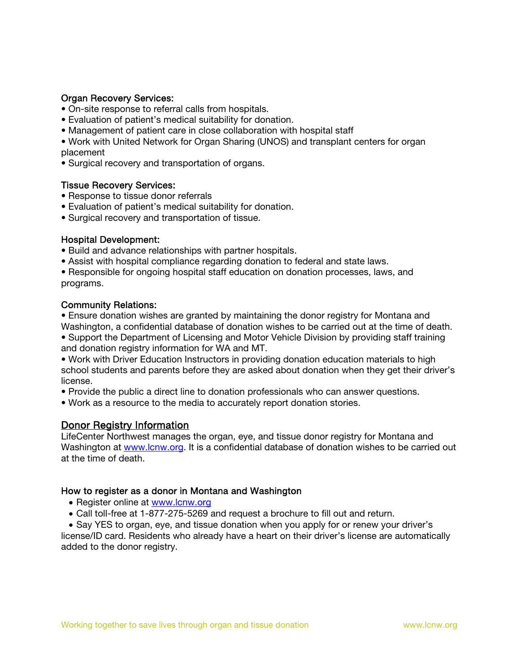## Organ Recovery Services:

- On-site response to referral calls from hospitals.
- Evaluation of patient's medical suitability for donation.
- Management of patient care in close collaboration with hospital staff
- Work with United Network for Organ Sharing (UNOS) and transplant centers for organ placement
- Surgical recovery and transportation of organs.

## Tissue Recovery Services:

- Response to tissue donor referrals
- Evaluation of patient's medical suitability for donation.
- Surgical recovery and transportation of tissue.

## Hospital Development:

- Build and advance relationships with partner hospitals.
- Assist with hospital compliance regarding donation to federal and state laws.
- Responsible for ongoing hospital staff education on donation processes, laws, and programs.

#### Community Relations:

• Ensure donation wishes are granted by maintaining the donor registry for Montana and Washington, a confidential database of donation wishes to be carried out at the time of death.

• Support the Department of Licensing and Motor Vehicle Division by providing staff training and donation registry information for WA and MT.

• Work with Driver Education Instructors in providing donation education materials to high school students and parents before they are asked about donation when they get their driver's license.

- Provide the public a direct line to donation professionals who can answer questions.
- Work as a resource to the media to accurately report donation stories.

# Donor Registry Information

LifeCenter Northwest manages the organ, eye, and tissue donor registry for Montana and Washington at www.lcnw.org. It is a confidential database of donation wishes to be carried out at the time of death.

#### How to register as a donor in Montana and Washington

- Register online at www.lcnw.org
- Call toll-free at 1-877-275-5269 and request a brochure to fill out and return.

• Say YES to organ, eye, and tissue donation when you apply for or renew your driver's license/ID card. Residents who already have a heart on their driver's license are automatically added to the donor registry.